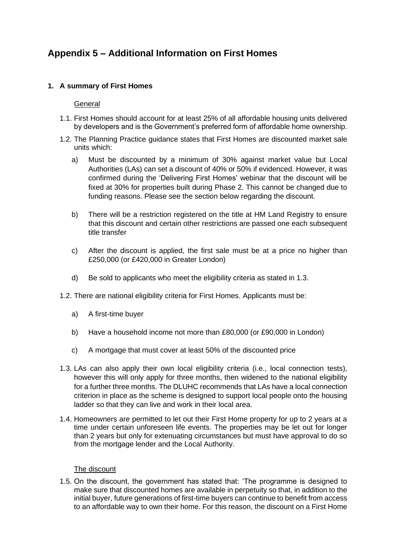# **Appendix 5 – Additional Information on First Homes**

# **1. A summary of First Homes**

## General

- 1.1. First Homes should account for at least 25% of all affordable housing units delivered by developers and is the Government's preferred form of affordable home ownership.
- 1.2. The Planning Practice guidance states that First Homes are discounted market sale units which:
	- a) Must be discounted by a minimum of 30% against market value but Local Authorities (LAs) can set a discount of 40% or 50% if evidenced. However, it was confirmed during the 'Delivering First Homes' webinar that the discount will be fixed at 30% for properties built during Phase 2. This cannot be changed due to funding reasons. Please see the section below regarding the discount.
	- b) There will be a restriction registered on the title at HM Land Registry to ensure that this discount and certain other restrictions are passed one each subsequent title transfer
	- c) After the discount is applied, the first sale must be at a price no higher than £250,000 (or £420,000 in Greater London)
	- d) Be sold to applicants who meet the eligibility criteria as stated in 1.3.
- 1.2. There are national eligibility criteria for First Homes. Applicants must be:
	- a) A first-time buyer
	- b) Have a household income not more than £80,000 (or £90,000 in London)
	- c) A mortgage that must cover at least 50% of the discounted price
- 1.3. LAs can also apply their own local eligibility criteria (i.e., local connection tests), however this will only apply for three months, then widened to the national eligibility for a further three months. The DLUHC recommends that LAs have a local connection criterion in place as the scheme is designed to support local people onto the housing ladder so that they can live and work in their local area.
- 1.4. Homeowners are permitted to let out their First Home property for up to 2 years at a time under certain unforeseen life events. The properties may be let out for longer than 2 years but only for extenuating circumstances but must have approval to do so from the mortgage lender and the Local Authority.

#### The discount

1.5. On the discount, the government has stated that: 'The programme is designed to make sure that discounted homes are available in perpetuity so that, in addition to the initial buyer, future generations of first-time buyers can continue to benefit from access to an affordable way to own their home. For this reason, the discount on a First Home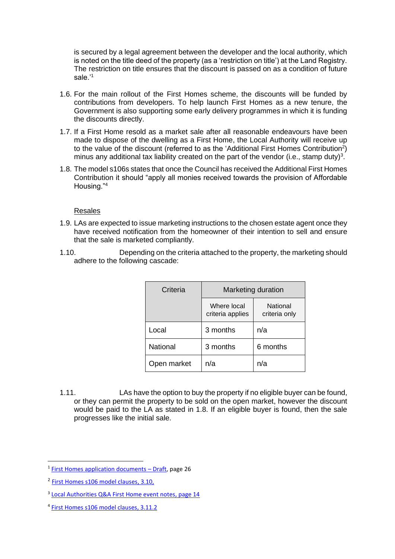is secured by a legal agreement between the developer and the local authority, which is noted on the title deed of the property (as a 'restriction on title') at the Land Registry. The restriction on title ensures that the discount is passed on as a condition of future sale.'<sup>1</sup>

- 1.6. For the main rollout of the First Homes scheme, the discounts will be funded by contributions from developers. To help launch First Homes as a new tenure, the Government is also supporting some early delivery programmes in which it is funding the discounts directly.
- 1.7. If a First Home resold as a market sale after all reasonable endeavours have been made to dispose of the dwelling as a First Home, the Local Authority will receive up to the value of the discount (referred to as the 'Additional First Homes Contribution<sup>2</sup>) minus any additional tax liability created on the part of the vendor (i.e., stamp duty)<sup>3</sup>.
- 1.8. The model s106s states that once the Council has received the Additional First Homes Contribution it should "apply all monies received towards the provision of Affordable Housing."<sup>4</sup>

#### Resales

- 1.9. LAs are expected to issue marketing instructions to the chosen estate agent once they have received notification from the homeowner of their intention to sell and ensure that the sale is marketed compliantly.
- 1.10. Depending on the criteria attached to the property, the marketing should adhere to the following cascade:

| Criteria        | Marketing duration              |                           |
|-----------------|---------------------------------|---------------------------|
|                 | Where local<br>criteria applies | National<br>criteria only |
| Local           | 3 months                        | n/a                       |
| <b>National</b> | 3 months                        | 6 months                  |
| Open market     | n/a                             | n/a                       |

1.11. LAs have the option to buy the property if no eligible buyer can be found, or they can permit the property to be sold on the open market, however the discount would be paid to the LA as stated in 1.8. If an eligible buyer is found, then the sale progresses like the initial sale.

<sup>&</sup>lt;sup>1</sup> [First Homes application documents](file:///C:/Users/Perry.Desouza/Dover%20District%20Council/Strategic%20Housing%20-%20Development%20-%20Development/Policies,%20Procedures%20&%20Guidance/First%20Homes%20(Research)/FH-applications-process-documents.pdf) - Draft, page 26

<sup>&</sup>lt;sup>2</sup> [First Homes s106 model clauses,](https://www.gov.uk/government/publications/first-homes-model-section-106-agreement-for-developer-contributions?utm_medium=email&utm_campaign=govuk-notifications&utm_source=34361185-84bd-4302-8689-0f5fb2aed2e4&utm_content=immediately) 3.10,

<sup>&</sup>lt;sup>3</sup> [Local Authorities Q&A First Home event notes,](file:///C:/Users/Perry.Desouza/Dover%20District%20Council/Strategic%20Housing%20-%20Development%20-%20Development/Policies,%20Procedures%20&%20Guidance/First%20Homes%20(Research)/First%20Homes/First%20Homes%20-%20Q&A.pdf) page 14

<sup>4</sup> [First Homes s106 model clauses,](https://www.gov.uk/government/publications/first-homes-model-section-106-agreement-for-developer-contributions?utm_medium=email&utm_campaign=govuk-notifications&utm_source=34361185-84bd-4302-8689-0f5fb2aed2e4&utm_content=immediately) 3.11.2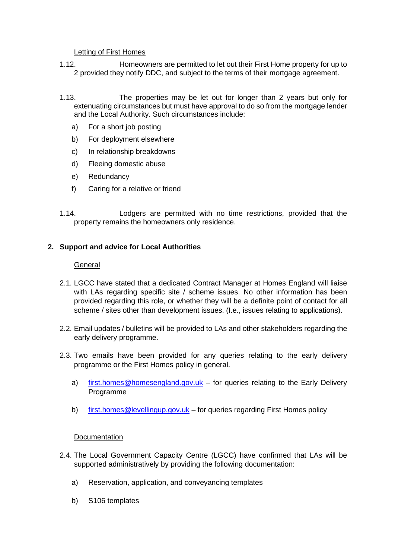#### Letting of First Homes

- 1.12. Homeowners are permitted to let out their First Home property for up to 2 provided they notify DDC, and subject to the terms of their mortgage agreement.
- 1.13. The properties may be let out for longer than 2 years but only for extenuating circumstances but must have approval to do so from the mortgage lender and the Local Authority. Such circumstances include:
	- a) For a short job posting
	- b) For deployment elsewhere
	- c) In relationship breakdowns
	- d) Fleeing domestic abuse
	- e) Redundancy
	- f) Caring for a relative or friend
- 1.14. Lodgers are permitted with no time restrictions, provided that the property remains the homeowners only residence.

## **2. Support and advice for Local Authorities**

#### **General**

- 2.1. LGCC have stated that a dedicated Contract Manager at Homes England will liaise with LAs regarding specific site / scheme issues. No other information has been provided regarding this role, or whether they will be a definite point of contact for all scheme / sites other than development issues. (I.e., issues relating to applications).
- 2.2. Email updates / bulletins will be provided to LAs and other stakeholders regarding the early delivery programme.
- 2.3. Two emails have been provided for any queries relating to the early delivery programme or the First Homes policy in general.
	- a) [first.homes@homesengland.gov.uk](mailto:first.homes@homesengland.gov.uk) for queries relating to the Early Delivery Programme
	- b) [first.homes@levellingup.gov.uk](mailto:first.homes@levellingup.gov.uk) for queries regarding First Homes policy

#### Documentation

- 2.4. The Local Government Capacity Centre (LGCC) have confirmed that LAs will be supported administratively by providing the following documentation:
	- a) Reservation, application, and conveyancing templates
	- b) S106 templates